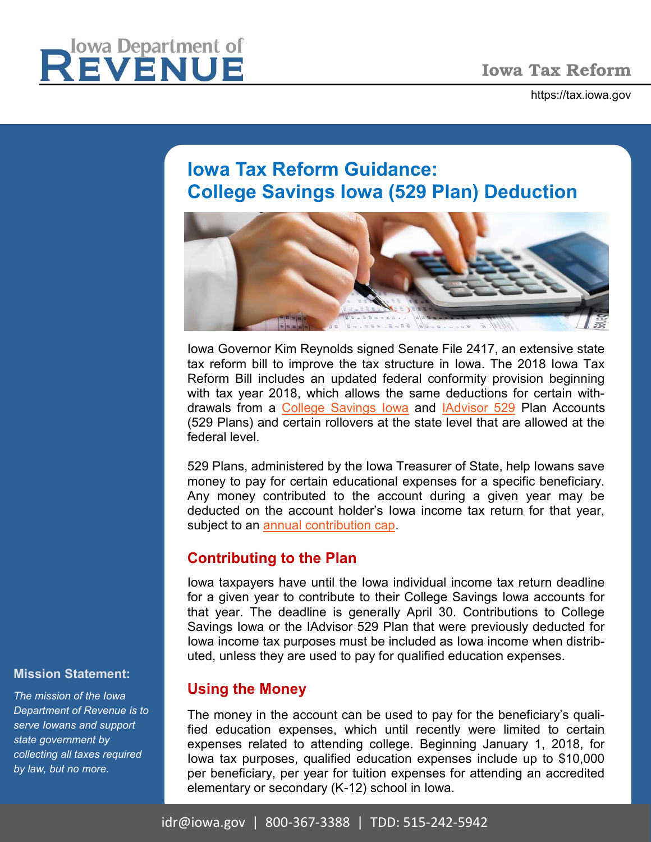https://tax.iowa.gov



# **Iowa Tax Reform Guidance: College Savings Iowa (529 Plan) Deduction**



Iowa Governor Kim Reynolds signed Senate File 2417, an extensive state tax reform bill to improve the tax structure in Iowa. The 2018 Iowa Tax Reform Bill includes an updated federal conformity provision beginning with tax year 2018, which allows the same deductions for certain withdrawals from a [College Savings Iowa](https://www.collegesavingsiowa.com/home/why-choose-college-savings-iowa/tax-benefits.html) and [IAdvisor 529](file://iowa.gov.state.ia.us/data/IDRUsers/Kpayne/My Documents/Add-in Express) Plan Accounts (529 Plans) and certain rollovers at the state level that are allowed at the federal level.

529 Plans, administered by the Iowa Treasurer of State, help Iowans save money to pay for certain educational expenses for a specific beneficiary. Any money contributed to the account during a given year may be deducted on the account holder's Iowa income tax return for that year, subject to an [annual contribution cap.](https://www.collegesavingsiowa.com/home/why-choose-college-savings-iowa/tax-benefits.html)

# **Contributing to the Plan**

Iowa taxpayers have until the Iowa individual income tax return deadline for a given year to contribute to their College Savings Iowa accounts for that year. The deadline is generally April 30. Contributions to College Savings Iowa or the IAdvisor 529 Plan that were previously deducted for Iowa income tax purposes must be included as Iowa income when distributed, unless they are used to pay for qualified education expenses.

# **Using the Money**

The money in the account can be used to pay for the beneficiary's qualified education expenses, which until recently were limited to certain expenses related to attending college. Beginning January 1, 2018, for Iowa tax purposes, qualified education expenses include up to \$10,000 per beneficiary, per year for tuition expenses for attending an accredited elementary or secondary (K-12) school in Iowa.

#### **Mission Statement:**

*The mission of the Iowa Department of Revenue is to serve Iowans and support state government by collecting all taxes required by law, but no more.*